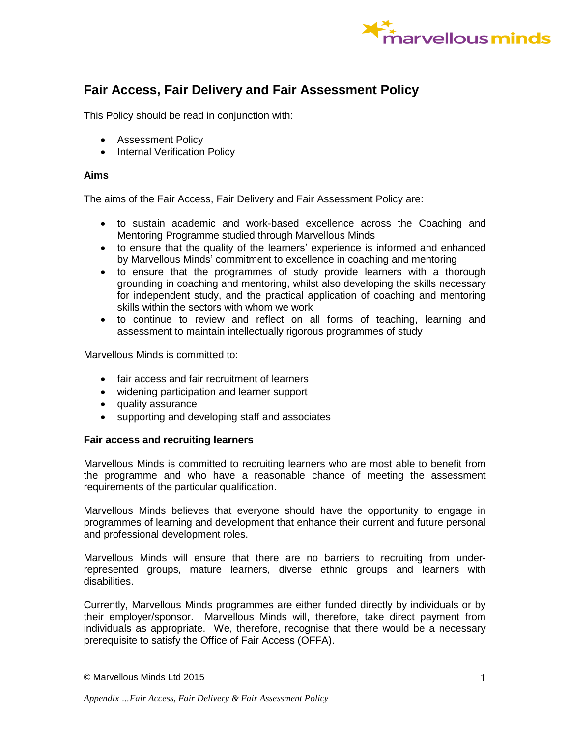

# **Fair Access, Fair Delivery and Fair Assessment Policy**

This Policy should be read in conjunction with:

- Assessment Policy
- Internal Verification Policy

# **Aims**

The aims of the Fair Access, Fair Delivery and Fair Assessment Policy are:

- to sustain academic and work-based excellence across the Coaching and Mentoring Programme studied through Marvellous Minds
- to ensure that the quality of the learners' experience is informed and enhanced by Marvellous Minds' commitment to excellence in coaching and mentoring
- to ensure that the programmes of study provide learners with a thorough grounding in coaching and mentoring, whilst also developing the skills necessary for independent study, and the practical application of coaching and mentoring skills within the sectors with whom we work
- to continue to review and reflect on all forms of teaching, learning and assessment to maintain intellectually rigorous programmes of study

Marvellous Minds is committed to:

- fair access and fair recruitment of learners
- widening participation and learner support
- quality assurance
- supporting and developing staff and associates

# **Fair access and recruiting learners**

Marvellous Minds is committed to recruiting learners who are most able to benefit from the programme and who have a reasonable chance of meeting the assessment requirements of the particular qualification.

Marvellous Minds believes that everyone should have the opportunity to engage in programmes of learning and development that enhance their current and future personal and professional development roles.

Marvellous Minds will ensure that there are no barriers to recruiting from underrepresented groups, mature learners, diverse ethnic groups and learners with disabilities.

Currently, Marvellous Minds programmes are either funded directly by individuals or by their employer/sponsor. Marvellous Minds will, therefore, take direct payment from individuals as appropriate. We, therefore, recognise that there would be a necessary prerequisite to satisfy the Office of Fair Access (OFFA).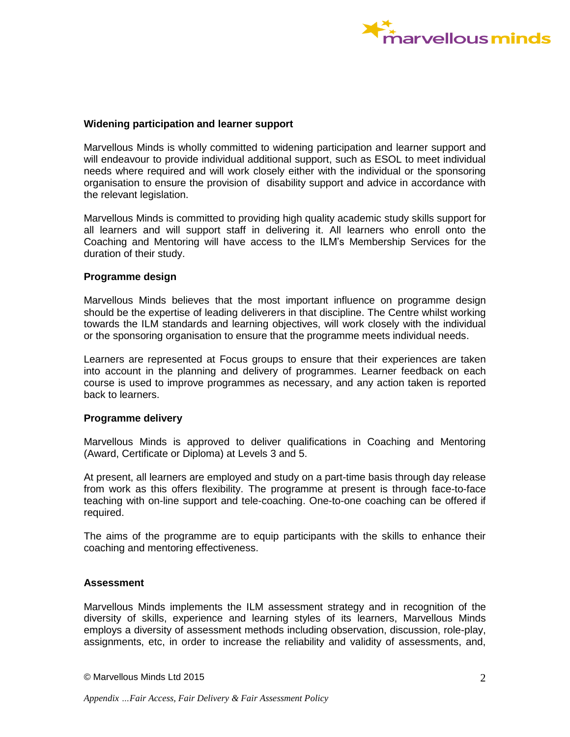

### **Widening participation and learner support**

Marvellous Minds is wholly committed to widening participation and learner support and will endeavour to provide individual additional support, such as ESOL to meet individual needs where required and will work closely either with the individual or the sponsoring organisation to ensure the provision of disability support and advice in accordance with the relevant legislation.

Marvellous Minds is committed to providing high quality academic study skills support for all learners and will support staff in delivering it. All learners who enroll onto the Coaching and Mentoring will have access to the ILM's Membership Services for the duration of their study.

# **Programme design**

Marvellous Minds believes that the most important influence on programme design should be the expertise of leading deliverers in that discipline. The Centre whilst working towards the ILM standards and learning objectives, will work closely with the individual or the sponsoring organisation to ensure that the programme meets individual needs.

Learners are represented at Focus groups to ensure that their experiences are taken into account in the planning and delivery of programmes. Learner feedback on each course is used to improve programmes as necessary, and any action taken is reported back to learners.

#### **Programme delivery**

Marvellous Minds is approved to deliver qualifications in Coaching and Mentoring (Award, Certificate or Diploma) at Levels 3 and 5.

At present, all learners are employed and study on a part-time basis through day release from work as this offers flexibility. The programme at present is through face-to-face teaching with on-line support and tele-coaching. One-to-one coaching can be offered if required.

The aims of the programme are to equip participants with the skills to enhance their coaching and mentoring effectiveness.

# **Assessment**

Marvellous Minds implements the ILM assessment strategy and in recognition of the diversity of skills, experience and learning styles of its learners, Marvellous Minds employs a diversity of assessment methods including observation, discussion, role-play, assignments, etc, in order to increase the reliability and validity of assessments, and,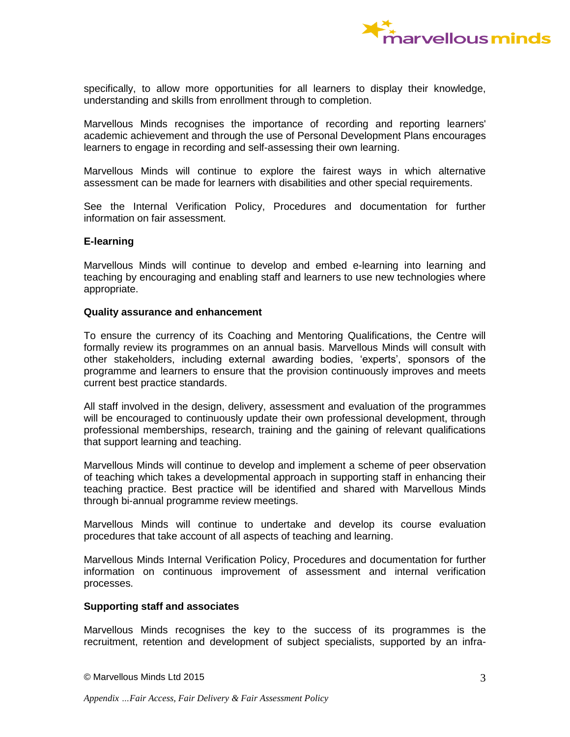

specifically, to allow more opportunities for all learners to display their knowledge, understanding and skills from enrollment through to completion.

Marvellous Minds recognises the importance of recording and reporting learners' academic achievement and through the use of Personal Development Plans encourages learners to engage in recording and self-assessing their own learning.

Marvellous Minds will continue to explore the fairest ways in which alternative assessment can be made for learners with disabilities and other special requirements.

See the Internal Verification Policy, Procedures and documentation for further information on fair assessment.

# **E-learning**

Marvellous Minds will continue to develop and embed e-learning into learning and teaching by encouraging and enabling staff and learners to use new technologies where appropriate.

### **Quality assurance and enhancement**

To ensure the currency of its Coaching and Mentoring Qualifications, the Centre will formally review its programmes on an annual basis. Marvellous Minds will consult with other stakeholders, including external awarding bodies, 'experts', sponsors of the programme and learners to ensure that the provision continuously improves and meets current best practice standards.

All staff involved in the design, delivery, assessment and evaluation of the programmes will be encouraged to continuously update their own professional development, through professional memberships, research, training and the gaining of relevant qualifications that support learning and teaching.

Marvellous Minds will continue to develop and implement a scheme of peer observation of teaching which takes a developmental approach in supporting staff in enhancing their teaching practice. Best practice will be identified and shared with Marvellous Minds through bi-annual programme review meetings.

Marvellous Minds will continue to undertake and develop its course evaluation procedures that take account of all aspects of teaching and learning.

Marvellous Minds Internal Verification Policy, Procedures and documentation for further information on continuous improvement of assessment and internal verification processes.

#### **Supporting staff and associates**

Marvellous Minds recognises the key to the success of its programmes is the recruitment, retention and development of subject specialists, supported by an infra-